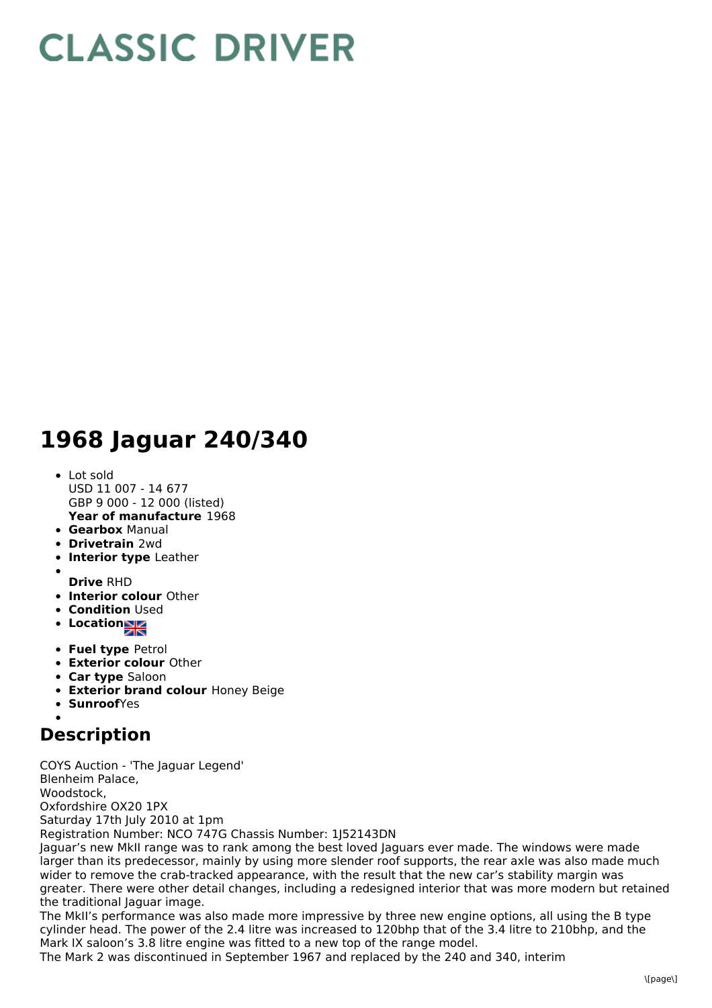## **CLASSIC DRIVER**

## **1968 Jaguar 240/340**

- **Year of manufacture** 1968 • Lot sold USD 11 007 - 14 677 GBP 9 000 - 12 000 (listed)
- **Gearbox** Manual
- **Drivetrain** 2wd
- **Interior type** Leather
- **Drive** RHD
- **Interior colour** Other
- **Condition Used**
- **Location**
- **Fuel type** Petrol
- **Exterior colour** Other
- **Car type** Saloon
- **Exterior brand colour** Honey Beige
- **Sunroof**Yes

## **Description**

COYS Auction - 'The Jaguar Legend' Blenheim Palace, Woodstock, Oxfordshire OX20 1PX Saturday 17th July 2010 at 1pm Registration Number: NCO 747G Chassis Number: 1J52143DN Jaguar's new MkII range was to rank among the best loved Jaguars ever made. The windows were made

larger than its predecessor, mainly by using more slender roof supports, the rear axle was also made much wider to remove the crab-tracked appearance, with the result that the new car's stability margin was greater. There were other detail changes, including a redesigned interior that was more modern but retained the traditional Jaguar image.

The MkII's performance was also made more impressive by three new engine options, all using the B type cylinder head. The power of the 2.4 litre was increased to 120bhp that of the 3.4 litre to 210bhp, and the Mark IX saloon's 3.8 litre engine was fitted to a new top of the range model.

The Mark 2 was discontinued in September 1967 and replaced by the 240 and 340, interim